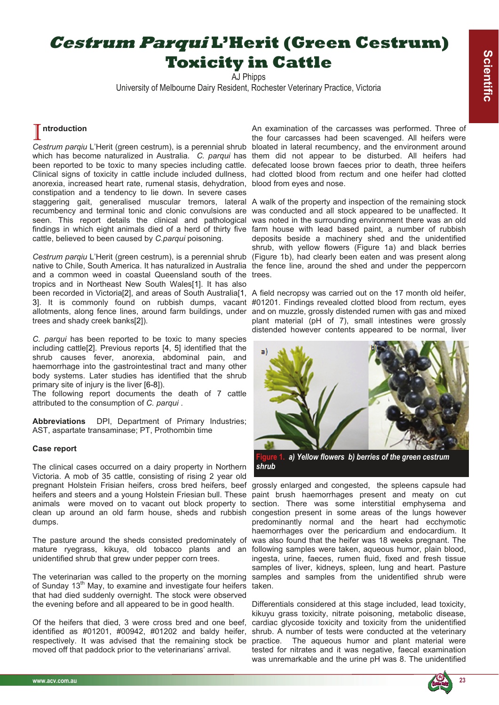# **Cestrum Parqui L'Herit (Green Cestrum) Toxicity in Cattle**

AJ Phipps

University of Melbourne Dairy Resident, Rochester Veterinary Practice, Victoria

## I **ntroduction**

Cestrum parqiu L'Herit (green cestrum), is a perennial shrub bloated in lateral recumbency, and the environment around which has become naturalized in Australia. *C. parqui* has them did not appear to be disturbed. All heifers had been reported to be toxic to many species including cattle. Clinical signs of toxicity in cattle include included dullness, had clotted blood from rectum and one heifer had clotted anorexia, increased heart rate, rumenal stasis, dehydration, blood from eyes and nose. constipation and a tendency to lie down. In severe cases staggering gait, generalised muscular tremors, lateral A walk of the property and inspection of the remaining stock recumbency and terminal tonic and clonic convulsions are seen. This report details the clinical and pathological findings in which eight animals died of a herd of thirty five farm house with lead based paint, a number of rubbish cattle, believed to been caused by *C.parqui* poisoning.

*Cestrum parqiu* L'Herit (green cestrum), is a perennial shrub (Figure 1b), had clearly been eaten and was present along native to Chile, South America. It has naturalized in Australia the fence line, around the shed and under the peppercorn and a common weed in coastal Queensland south of the trees. tropics and in Northeast New South Wales[1]. It has also been recorded in Victoria[2], and areas of South Australia[1, A field necropsy was carried out on the 17 month old heifer, 3]. It is commonly found on rubbish dumps, vacant #01201. Findings revealed clotted blood from rectum, eyes allotments, along fence lines, around farm buildings, under and on muzzle, grossly distended rumen with gas and mixed trees and shady creek banks[2]).

*C. parqui* has been reported to be toxic to many species including cattle[2]. Previous reports [4, 5] identified that the shrub causes fever, anorexia, abdominal pain, and haemorrhage into the gastrointestinal tract and many other body systems. Later studies has identified that the shrub primary site of injury is the liver [6-8]).

The following report documents the death of 7 cattle attributed to the consumption of *C. parqui* .

**Abbreviations** DPI, Department of Primary Industries; AST, aspartate transaminase; PT, Prothombin time

### **Case report**

The clinical cases occurred on a dairy property in Northern Victoria. A mob of 35 cattle, consisting of rising 2 year old pregnant Holstein Frisian heifers, cross bred heifers, beef heifers and steers and a young Holstein Friesian bull. These animals were moved on to vacant out block property to clean up around an old farm house, sheds and rubbish dumps.

mature ryegrass, kikuya, old tobacco plants and an unidentified shrub that grew under pepper corn trees.

The veterinarian was called to the property on the morning samples and samples from the unidentified shrub were of Sunday 13<sup>th</sup> May, to examine and investigate four heifers that had died suddenly overnight. The stock were observed the evening before and all appeared to be in good health.

Of the heifers that died, 3 were cross bred and one beef, identified as #01201, #00942, #01202 and baldy heifer, respectively. It was advised that the remaining stock be moved off that paddock prior to the veterinarians' arrival.

An examination of the carcasses was performed. Three of the four carcasses had been scavenged. All heifers were defecated loose brown faeces prior to death, three heifers

was conducted and all stock appeared to be unaffected. It was noted in the surrounding environment there was an old deposits beside a machinery shed and the unidentified shrub, with yellow flowers (Figure 1a) and black berries

plant material (pH of 7), small intestines were grossly distended however contents appeared to be normal, liver



**Figure 1.** *a) Yellow flowers b) berries of the green cestrum shrub* 

The pasture around the sheds consisted predominately of was also found that the heifer was 18 weeks pregnant. The grossly enlarged and congested, the spleens capsule had paint brush haemorrhages present and meaty on cut section. There was some interstitial emphysema and congestion present in some areas of the lungs however predominantly normal and the heart had ecchymotic haemorrhages over the pericardium and endocardium. It following samples were taken, aqueous humor, plain blood, ingesta, urine, faeces, rumen fluid, fixed and fresh tissue samples of liver, kidneys, spleen, lung and heart. Pasture taken.

> Differentials considered at this stage included, lead toxicity, kikuyu grass toxicity, nitrate poisoning, metabolic disease, cardiac glycoside toxicity and toxicity from the unidentified shrub. A number of tests were conducted at the veterinary practice. The aqueous humor and plant material were tested for nitrates and it was negative, faecal examination was unremarkable and the urine pH was 8. The unidentified

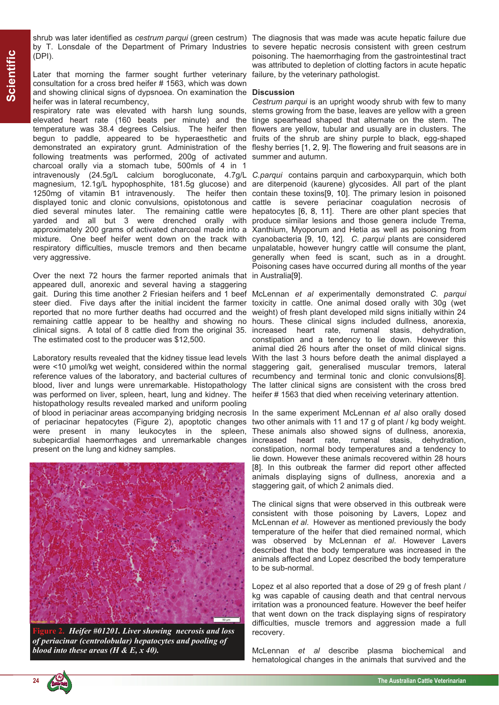(DPI).

Later that morning the farmer sought further veterinary consultation for a cross bred heifer # 1563, which was down and showing clinical signs of dypsnoea. On examination the **Discussion**  heifer was in lateral recumbency,

respiratory rate was elevated with harsh lung sounds, stems growing from the base, leaves are yellow with a green elevated heart rate (160 beats per minute) and the tinge spearhead shaped that alternate on the stem. The temperature was 38.4 degrees Celsius. The heifer then flowers are yellow, tubular and usually are in clusters. The begun to paddle, appeared to be hyperaesthetic and fruits of the shrub are shiny purple to black, egg-shaped demonstrated an expiratory grunt. Administration of the fleshy berries [1, 2, 9]. The flowering and fruit seasons are in following treatments was performed, 200g of activated summer and autumn. charcoal orally via a stomach tube, 500mls of 4 in 1 intravenously (24.5g/L calcium borogluconate, 4.7g/L C.parqui contains parquin and carboxyparquin, which both magnesium, 12.1g/L hypophosphite, 181.5g glucose) and are diterpenoid (kaurene) glycosides. All part of the plant 1250mg of vitamin B1 intravenously. The heifer then displayed tonic and clonic convulsions, opistotonous and died several minutes later. The remaining cattle were yarded and all but 3 were drenched orally with approximately 200 grams of activated charcoal made into a mixture. One beef heifer went down on the track with cyanobacteria [9, 10, 12]. *C. parqui* plants are considered respiratory difficulties, muscle tremors and then became unpalatable, however hungry cattle will consume the plant, very aggressive.

Over the next 72 hours the farmer reported animals that in Australia[9]. appeared dull, anorexic and several having a staggering gait. During this time another 2 Friesian heifers and 1 beef McLennan *et al* experimentally demonstrated *C. parqui* steer died. Five days after the initial incident the farmer reported that no more further deaths had occurred and the weight) of fresh plant developed mild signs initially within 24 remaining cattle appear to be healthy and showing no hours. These clinical signs included dullness, anorexia, clinical signs. A total of 8 cattle died from the original 35. increased heart rate, rumenal stasis, dehydration, The estimated cost to the producer was \$12,500.

Laboratory results revealed that the kidney tissue lead levels were <10 µmol/kg wet weight, considered within the normal reference values of the laboratory, and bacterial cultures of blood, liver and lungs were unremarkable. Histopathology was performed on liver, spleen, heart, lung and kidney. The histopathology results revealed marked and uniform pooling of blood in periacinar areas accompanying bridging necrosis of periacinar hepatocytes (Figure 2), apoptotic changes were present in many leukocytes in the spleen, subepicardial haemorrhages and unremarkable changes present on the lung and kidney samples.



**Figure 2.** *Heifer #01201. Liver showing necrosis and loss of periacinar (centrolobular) hepatocytes and pooling of blood into these areas (H & E, x 40).*

shrub was later identified as *cestrum parqui* (green cestrum) The diagnosis that was made was acute hepatic failure due by T. Lonsdale of the Department of Primary Industries to severe hepatic necrosis consistent with green cestrum poisoning. The haemorrhaging from the gastrointestinal tract was attributed to depletion of clotting factors in acute hepatic failure, by the veterinary pathologist.

*Cestrum parqui* is an upright woody shrub with few to many

contain these toxins[9, 10]. The primary lesion in poisoned cattle is severe periacinar coagulation necrosis of cattle is severe periacinar coagulation necrosis of<br>hepatocytes [6, 8, 11]. There are other plant species that produce similar lesions and those genera include Trema, Xanthium, Myoporum and Hetia as well as poisoning from generally when feed is scant, such as in a drought. Poisoning cases have occurred during all months of the year

toxicity in cattle. One animal dosed orally with 30g (wet constipation and a tendency to lie down. However this animal died 26 hours after the onset of mild clinical signs. With the last 3 hours before death the animal displayed a staggering gait, generalised muscular tremors, lateral recumbency and terminal tonic and clonic convulsions[8]. The latter clinical signs are consistent with the cross bred heifer # 1563 that died when receiving veterinary attention.

In the same experiment McLennan *et al* also orally dosed two other animals with 11 and 17 g of plant / kg body weight. These animals also showed signs of dullness, anorexia, increased heart rate, rumenal stasis, dehydration, constipation, normal body temperatures and a tendency to lie down. However these animals recovered within 28 hours [8]. In this outbreak the farmer did report other affected animals displaying signs of dullness, anorexia and a staggering gait, of which 2 animals died.

The clinical signs that were observed in this outbreak were consistent with those poisoning by Lavers, Lopez and McLennan *et al*. However as mentioned previously the body temperature of the heifer that died remained normal, which was observed by McLennan *et al*. However Lavers described that the body temperature was increased in the animals affected and Lopez described the body temperature to be sub-normal.

Lopez et al also reported that a dose of 29 g of fresh plant / kg was capable of causing death and that central nervous irritation was a pronounced feature. However the beef heifer that went down on the track displaying signs of respiratory difficulties, muscle tremors and aggression made a full recovery.

McLennan *et al* describe plasma biochemical and hematological changes in the animals that survived and the